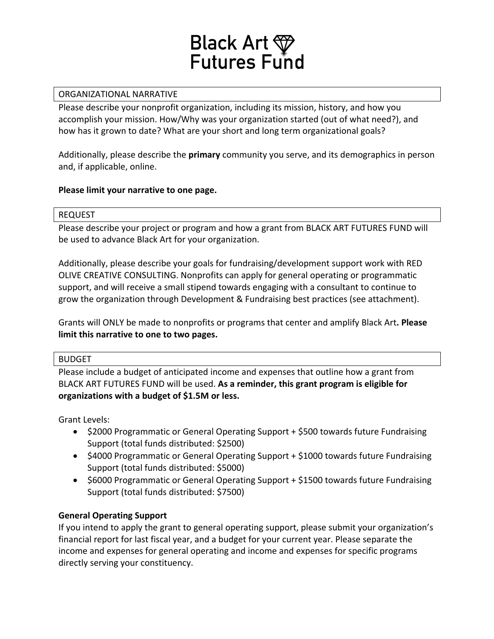

# ORGANIZATIONAL NARRATIVE

Please describe your nonprofit organization, including its mission, history, and how you accomplish your mission. How/Why was your organization started (out of what need?), and how has it grown to date? What are your short and long term organizational goals?

Additionally, please describe the **primary** community you serve, and its demographics in person and, if applicable, online.

# Please limit your narrative to one page.

### REQUEST

Please describe your project or program and how a grant from BLACK ART FUTURES FUND will be used to advance Black Art for your organization.

Additionally, please describe your goals for fundraising/development support work with RED OLIVE CREATIVE CONSULTING. Nonprofits can apply for general operating or programmatic support, and will receive a small stipend towards engaging with a consultant to continue to grow the organization through Development & Fundraising best practices (see attachment).

Grants will ONLY be made to nonprofits or programs that center and amplify Black Art. Please **limit this narrative to one to two pages.** 

# BUDGET

Please include a budget of anticipated income and expenses that outline how a grant from BLACK ART FUTURES FUND will be used. As a reminder, this grant program is eligible for **organizations with a budget of \$1.5M or less.**

Grant Levels:

- \$2000 Programmatic or General Operating Support + \$500 towards future Fundraising Support (total funds distributed: \$2500)
- \$4000 Programmatic or General Operating Support + \$1000 towards future Fundraising Support (total funds distributed: \$5000)
- \$6000 Programmatic or General Operating Support + \$1500 towards future Fundraising Support (total funds distributed: \$7500)

# **General Operating Support**

If you intend to apply the grant to general operating support, please submit your organization's financial report for last fiscal year, and a budget for your current year. Please separate the income and expenses for general operating and income and expenses for specific programs directly serving your constituency.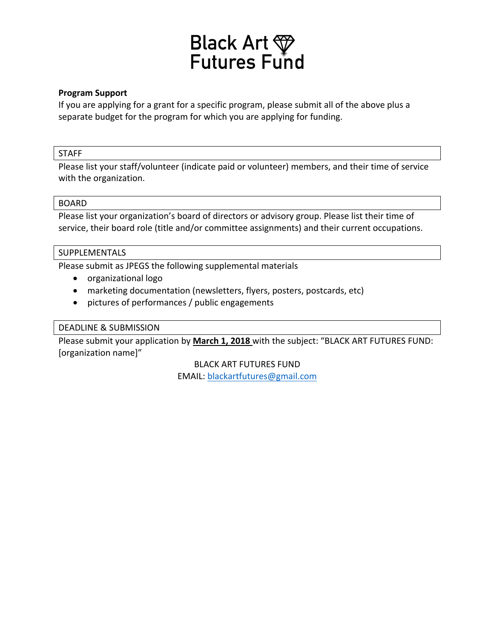

## **Program Support**

If you are applying for a grant for a specific program, please submit all of the above plus a separate budget for the program for which you are applying for funding.

### STAFF

Please list your staff/volunteer (indicate paid or volunteer) members, and their time of service with the organization.

#### BOARD

Please list your organization's board of directors or advisory group. Please list their time of service, their board role (title and/or committee assignments) and their current occupations.

# SUPPLEMENTALS

Please submit as JPEGS the following supplemental materials

- organizational logo
- marketing documentation (newsletters, flyers, posters, postcards, etc)
- pictures of performances / public engagements

# DEADLINE & SUBMISSION

Please submit your application by March 1, 2018 with the subject: "BLACK ART FUTURES FUND: [organization name]"

> **BLACK ART FUTURES FUND** EMAIL: blackartfutures@gmail.com